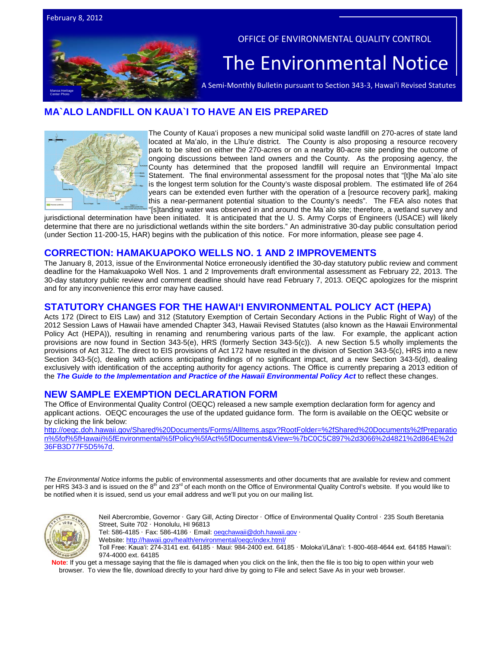# Center Photo

#### OFFICE OF ENVIRONMENTAL QUALITY CONTROL

# The Environmental Notice  $\vert$ <br>A Semi-Monthly Bulletin pursuant to Section 343-3, Hawai'i Revised Statutes

# **MA`ALO LANDFILL ON KAUA`I TO HAVE AN EIS PREPARED**



The County of Kaua'i proposes a new municipal solid waste landfill on 270-acres of state land located at Maʻalo, in the Līhuʻe district. The County is also proposing a resource recovery park to be sited on either the 270-acres or on a nearby 80-acre site pending the outcome of ongoing discussions between land owners and the County. As the proposing agency, the County has determined that the proposed landfill will require an Environmental Impact Statement. The final environmental assessment for the proposal notes that "[t]he Ma`alo site is the longest term solution for the County's waste disposal problem. The estimated life of 264 years can be extended even further with the operation of a [resource recovery park], making this a near-permanent potential situation to the County's needs". The FEA also notes that "[s]tanding water was observed in and around the Ma`alo site; therefore, a wetland survey and

jurisdictional determination have been initiated. It is anticipated that the U. S. Army Corps of Engineers (USACE) will likely determine that there are no jurisdictional wetlands within the site borders." An administrative 30-day public consultation period (under Section 11-200-15, HAR) begins with the publication of this notice. For more information, please see page 4.

#### **CORRECTION: HAMAKUAPOKO WELLS NO. 1 AND 2 IMPROVEMENTS**

The January 8, 2013, issue of the Environmental Notice erroneously identified the 30-day statutory public review and comment deadline for the Hamakuapoko Well Nos. 1 and 2 Improvements draft environmental assessment as February 22, 2013. The 30-day statutory public review and comment deadline should have read February 7, 2013. OEQC apologizes for the misprint and for any inconvenience this error may have caused.

#### **STATUTORY CHANGES FOR THE HAWAI'I ENVIRONMENTAL POLICY ACT (HEPA)**

Acts 172 (Direct to EIS Law) and 312 (Statutory Exemption of Certain Secondary Actions in the Public Right of Way) of the 2012 Session Laws of Hawaii have amended Chapter 343, Hawaii Revised Statutes (also known as the Hawaii Environmental Policy Act (HEPA)), resulting in renaming and renumbering various parts of the law. For example, the applicant action provisions are now found in Section 343-5(e), HRS (formerly Section 343-5(c)). A new Section 5.5 wholly implements the provisions of Act 312. The direct to EIS provisions of Act 172 have resulted in the division of Section 343-5(c), HRS into a new Section 343-5(c), dealing with actions anticipating findings of no significant impact, and a new Section 343-5(d), dealing exclusively with identification of the accepting authority for agency actions. The Office is currently preparing a 2013 edition of the *[The Guide to the Implementation and Practice of the Hawaii Environmental Policy Act](http://oeqc.doh.hawaii.gov/Shared%20Documents/Misc_Documents/Guide%20to%20the%20Implementation%20and%20Practice%20of%20the%20HEPA.pdf)* to reflect these changes.

# **NEW SAMPLE EXEMPTION DECLARATION FORM**

The Office of Environmental Quality Control (OEQC) released a new sample exemption declaration form for agency and applicant actions. OEQC encourages the use of the updated guidance form. The form is available on the OEQC website or by clicking the link below:

[http://oeqc.doh.hawaii.gov/Shared%20Documents/Forms/AllItems.aspx?RootFolder=%2fShared%20Documents%2fPreparatio](http://oeqc.doh.hawaii.gov/Shared%20Documents/Forms/AllItems.aspx?RootFolder=%2fShared%20Documents%2fPreparation%5fof%5fHawaii%5fEnvironmental%5fPolicy%5fAct%5fDocuments&View=%7bC0C5C897%2d3066%2d4821%2d864E%2d36FB3D77F5D5%7d) [n%5fof%5fHawaii%5fEnvironmental%5fPolicy%5fAct%5fDocuments&View=%7bC0C5C897%2d3066%2d4821%2d864E%2d](http://oeqc.doh.hawaii.gov/Shared%20Documents/Forms/AllItems.aspx?RootFolder=%2fShared%20Documents%2fPreparation%5fof%5fHawaii%5fEnvironmental%5fPolicy%5fAct%5fDocuments&View=%7bC0C5C897%2d3066%2d4821%2d864E%2d36FB3D77F5D5%7d) [36FB3D77F5D5%7d.](http://oeqc.doh.hawaii.gov/Shared%20Documents/Forms/AllItems.aspx?RootFolder=%2fShared%20Documents%2fPreparation%5fof%5fHawaii%5fEnvironmental%5fPolicy%5fAct%5fDocuments&View=%7bC0C5C897%2d3066%2d4821%2d864E%2d36FB3D77F5D5%7d)

*The Environmental Notice* informs the public of environmental assessments and other documents that are available for review and comment per HRS 343-3 and is issued on the 8<sup>th</sup> and 23<sup>rd</sup> of each month on the Office of Environmental Quality Control's website. If you would like to be notified when it is issued, send us your email address and we'll put you on our mailing list.



Neil Abercrombie, Governor · Gary Gill, Acting Director · Office of Environmental Quality Control · 235 South Beretania Street, Suite 702 · Honolulu, HI 96813

Tel: 586-4185 · Fax: 586-4186 · Email[: oeqchawaii@doh.hawaii.gov](mailto:oeqchawaii@doh.hawaii.gov) ·

Website:<http://hawaii.gov/health/environmental/oeqc/index.html/>

Toll Free: Kauaʻi: 274-3141 ext. 64185 · Maui: 984-2400 ext. 64185 · Molokaʻi/Lānaʻi: 1-800-468-4644 ext. 64185 Hawaiʻi: 974-4000 ext. 64185

Note: If you get a message saying that the file is damaged when you click on the link, then the file is too big to open within your web browser. To view the file, download directly to your hard drive by going to File and select Save As in your web browser.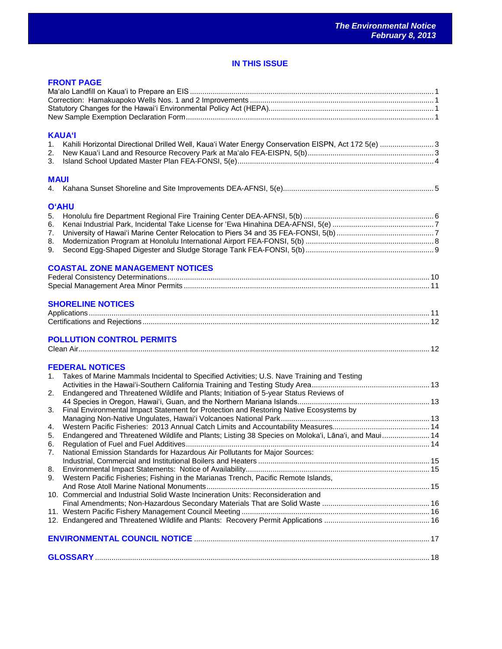# **IN THIS ISSUE**

|                                                    | <b>FRONT PAGE</b>                                                                                                                                                                                                                                                                                                                                                                                                                                                                                                                                                                                                                                                       |  |
|----------------------------------------------------|-------------------------------------------------------------------------------------------------------------------------------------------------------------------------------------------------------------------------------------------------------------------------------------------------------------------------------------------------------------------------------------------------------------------------------------------------------------------------------------------------------------------------------------------------------------------------------------------------------------------------------------------------------------------------|--|
| 1.<br>2.<br>3.                                     | <b>KAUA'I</b><br>Kahili Horizontal Directional Drilled Well, Kaua'i Water Energy Conservation EISPN, Act 172 5(e) 3                                                                                                                                                                                                                                                                                                                                                                                                                                                                                                                                                     |  |
| <b>MAUI</b>                                        |                                                                                                                                                                                                                                                                                                                                                                                                                                                                                                                                                                                                                                                                         |  |
| 5.<br>6.<br>7.<br>8.<br>9.                         | <b>O'AHU</b>                                                                                                                                                                                                                                                                                                                                                                                                                                                                                                                                                                                                                                                            |  |
|                                                    | <b>COASTAL ZONE MANAGEMENT NOTICES</b>                                                                                                                                                                                                                                                                                                                                                                                                                                                                                                                                                                                                                                  |  |
|                                                    | <b>SHORELINE NOTICES</b><br><b>POLLUTION CONTROL PERMITS</b>                                                                                                                                                                                                                                                                                                                                                                                                                                                                                                                                                                                                            |  |
| 1.<br>2.<br>3.<br>4.<br>5.<br>6.<br>7.<br>8.<br>9. | <b>FEDERAL NOTICES</b><br>Takes of Marine Mammals Incidental to Specified Activities; U.S. Nave Training and Testing<br>Endangered and Threatened Wildlife and Plants; Initiation of 5-year Status Reviews of<br>Final Environmental Impact Statement for Protection and Restoring Native Ecosystems by<br>Endangered and Threatened Wildlife and Plants; Listing 38 Species on Moloka'i, Lāna'i, and Maui 14<br>National Emission Standards for Hazardous Air Pollutants for Major Sources:<br>Western Pacific Fisheries; Fishing in the Marianas Trench, Pacific Remote Islands,<br>10. Commercial and Industrial Solid Waste Incineration Units: Reconsideration and |  |
|                                                    |                                                                                                                                                                                                                                                                                                                                                                                                                                                                                                                                                                                                                                                                         |  |
|                                                    |                                                                                                                                                                                                                                                                                                                                                                                                                                                                                                                                                                                                                                                                         |  |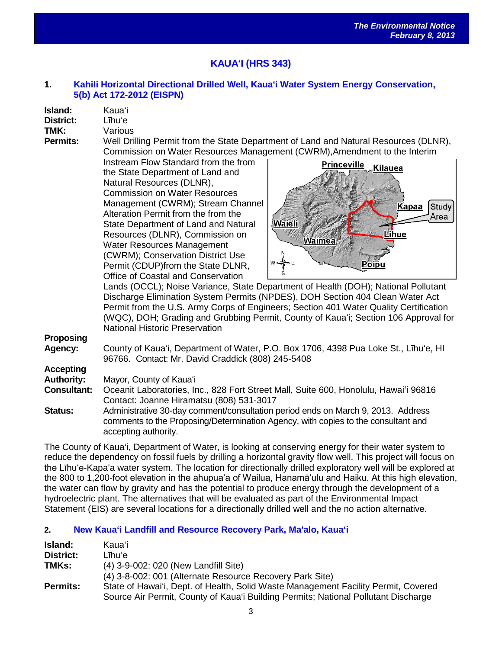# **KAUAʻI (HRS 343)**

#### **1. [Kahili Horizontal Directional Drilled Well, Kaua](http://oeqc.doh.hawaii.gov/Shared%20Documents/EA_and_EIS_Online_Library/Kauai/2010s/2013-02-08-KA-5b-EISPN-Kauai-Water-System-Conservation-at-Kahili.pdf)ʻi Water System Energy Conservation, [5\(b\) Act 172-2012 \(EISPN\)](http://oeqc.doh.hawaii.gov/Shared%20Documents/EA_and_EIS_Online_Library/Kauai/2010s/2013-02-08-KA-5b-EISPN-Kauai-Water-System-Conservation-at-Kahili.pdf)**

| Island:   | Kauaʻi |
|-----------|--------|
| District: | Līhu'e |

**TMK:** Various<br> **Permits:** Well Dri Well Drilling Permit from the State Department of Land and Natural Resources (DLNR), Commission on Water Resources Management (CWRM),Amendment to the Interim

Instream Flow Standard from the from the State Department of Land and Natural Resources (DLNR), Commission on Water Resources Management (CWRM); Stream Channel Alteration Permit from the from the State Department of Land and Natural Resources (DLNR), Commission on Water Resources Management (CWRM); Conservation District Use Permit (CDUP)from the State DLNR, Office of Coastal and Conservation



Lands (OCCL); Noise Variance, State Department of Health (DOH); National Pollutant Discharge Elimination System Permits (NPDES), DOH Section 404 Clean Water Act Permit from the U.S. Army Corps of Engineers; Section 401 Water Quality Certification (WQC), DOH; Grading and Grubbing Permit, County of Kauaʻi; Section 106 Approval for National Historic Preservation

**Proposing**

**Agency:** County of Kauaʻi, Department of Water, P.O. Box 1706, 4398 Pua Loke St., Līhuʻe, HI 96766. Contact: Mr. David Craddick (808) 245-5408

# **Accepting**

**Authority:** Mayor, County of Kauaʻi

**Consultant:** Oceanit Laboratories, Inc., 828 Fort Street Mall, Suite 600, Honolulu, Hawaiʻi 96816 Contact: Joanne Hiramatsu (808) 531-3017

**Status:** Administrative 30-day comment/consultation period ends on March 9, 2013. Address comments to the Proposing/Determination Agency, with copies to the consultant and accepting authority.

The County of Kaua'i, Department of Water, is looking at conserving energy for their water system to reduce the dependency on fossil fuels by drilling a horizontal gravity flow well. This project will focus on the Līhu'e-Kapa'a water system. The location for directionally drilled exploratory well will be explored at the 800 to 1,200-foot elevation in the ahupuaʻa of Wailua, Hanamāʻulu and Haiku. At this high elevation, the water can flow by gravity and has the potential to produce energy through the development of a hydroelectric plant. The alternatives that will be evaluated as part of the Environmental Impact Statement (EIS) are several locations for a directionally drilled well and the no action alternative.

# **2. [New Kaua'i Landfill and Resource Recovery Park, Ma'alo, Kaua'i](http://oeqc.doh.hawaii.gov/Shared%20Documents/EA_and_EIS_Online_Library/Kauai/2010s/2013-02-08-KA-5b-FEA-EISPN-New-Kauai-Landfill-and-Resource-Recovery-Park-at-Maalo.pdf)**

| Island:         | Kauaʻi                                                                             |
|-----------------|------------------------------------------------------------------------------------|
| District:       | Līhu'e                                                                             |
| TMKs:           | (4) 3-9-002: 020 (New Landfill Site)                                               |
|                 | (4) 3-8-002: 001 (Alternate Resource Recovery Park Site)                           |
| <b>Permits:</b> | State of Hawai'i, Dept. of Health, Solid Waste Management Facility Permit, Covered |
|                 | Source Air Permit, County of Kaua'i Building Permits; National Pollutant Discharge |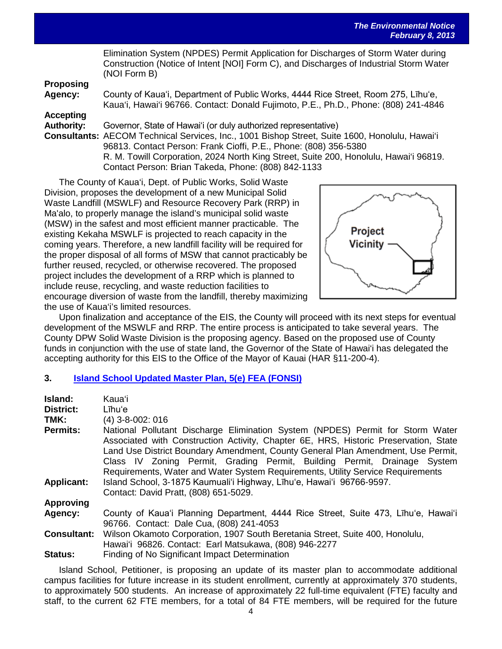|                   | Elimination System (NPDES) Permit Application for Discharges of Storm Water during<br>Construction (Notice of Intent [NOI] Form C), and Discharges of Industrial Storm Water<br>(NOI Form B)                                                                |
|-------------------|-------------------------------------------------------------------------------------------------------------------------------------------------------------------------------------------------------------------------------------------------------------|
| <b>Proposing</b>  |                                                                                                                                                                                                                                                             |
| Agency:           | County of Kaua'i, Department of Public Works, 4444 Rice Street, Room 275, Lihu'e,<br>Kaua'i, Hawai'i 96766. Contact: Donald Fujimoto, P.E., Ph.D., Phone: (808) 241-4846                                                                                    |
| <b>Accepting</b>  |                                                                                                                                                                                                                                                             |
| <b>Authority:</b> | Governor, State of Hawai'i (or duly authorized representative)                                                                                                                                                                                              |
|                   | Consultants: AECOM Technical Services, Inc., 1001 Bishop Street, Suite 1600, Honolulu, Hawai'i<br>96813. Contact Person: Frank Cioffi, P.E., Phone: (808) 356-5380<br>R. M. Towill Corporation, 2024 North King Street, Suite 200, Honolulu, Hawai'i 96819. |
|                   | Contact Person: Brian Takeda, Phone: (808) 842-1133                                                                                                                                                                                                         |

The County of Kaua'i, Dept. of Public Works, Solid Waste Division, proposes the development of a new Municipal Solid Waste Landfill (MSWLF) and Resource Recovery Park (RRP) in Ma'alo, to properly manage the island's municipal solid waste (MSW) in the safest and most efficient manner practicable. The existing Kekaha MSWLF is projected to reach capacity in the coming years. Therefore, a new landfill facility will be required for the proper disposal of all forms of MSW that cannot practicably be further reused, recycled, or otherwise recovered. The proposed project includes the development of a RRP which is planned to include reuse, recycling, and waste reduction facilities to encourage diversion of waste from the landfill, thereby maximizing the use of Kaua'i's limited resources.



Upon finalization and acceptance of the EIS, the County will proceed with its next steps for eventual development of the MSWLF and RRP. The entire process is anticipated to take several years. The County DPW Solid Waste Division is the proposing agency. Based on the proposed use of County funds in conjunction with the use of state land, the Governor of the State of Hawai'i has delegated the accepting authority for this EIS to the Office of the Mayor of Kauai (HAR §11-200-4).

#### **3. [Island School Updated Master Plan, 5\(e\) FEA \(FONSI\)](http://oeqc.doh.hawaii.gov/Shared%20Documents/EA_and_EIS_Online_Library/Kauai/2010s/2013-02-08-KA-5e-FEA-Kauai-Island-School-Updated-Master-Plan.pdf)**

| Island:            | Kauaʻi                                                                                                                                                                                                                                                                                                                                                                                                                    |
|--------------------|---------------------------------------------------------------------------------------------------------------------------------------------------------------------------------------------------------------------------------------------------------------------------------------------------------------------------------------------------------------------------------------------------------------------------|
| <b>District:</b>   | Līhuʻe                                                                                                                                                                                                                                                                                                                                                                                                                    |
| TMK:               | (4) 3-8-002: 016                                                                                                                                                                                                                                                                                                                                                                                                          |
| <b>Permits:</b>    | National Pollutant Discharge Elimination System (NPDES) Permit for Storm Water<br>Associated with Construction Activity, Chapter 6E, HRS, Historic Preservation, State<br>Land Use District Boundary Amendment, County General Plan Amendment, Use Permit,<br>Class IV Zoning Permit, Grading Permit, Building Permit, Drainage System<br>Requirements, Water and Water System Requirements, Utility Service Requirements |
| <b>Applicant:</b>  | Island School, 3-1875 Kaumuali'i Highway, Līhu'e, Hawai'i 96766-9597.<br>Contact: David Pratt, (808) 651-5029.                                                                                                                                                                                                                                                                                                            |
| <b>Approving</b>   |                                                                                                                                                                                                                                                                                                                                                                                                                           |
| Agency:            | County of Kaua'i Planning Department, 4444 Rice Street, Suite 473, Lihu'e, Hawai'i<br>96766. Contact: Dale Cua, (808) 241-4053                                                                                                                                                                                                                                                                                            |
| <b>Consultant:</b> | Wilson Okamoto Corporation, 1907 South Beretania Street, Suite 400, Honolulu,<br>Hawai'i 96826. Contact: Earl Matsukawa, (808) 946-2277                                                                                                                                                                                                                                                                                   |
| <b>Status:</b>     | Finding of No Significant Impact Determination                                                                                                                                                                                                                                                                                                                                                                            |

Island School, Petitioner, is proposing an update of its master plan to accommodate additional campus facilities for future increase in its student enrollment, currently at approximately 370 students, to approximately 500 students. An increase of approximately 22 full-time equivalent (FTE) faculty and staff, to the current 62 FTE members, for a total of 84 FTE members, will be required for the future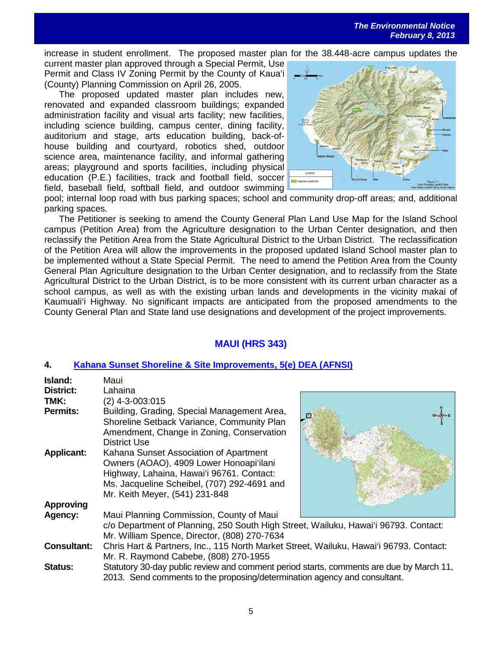increase in student enrollment. The proposed master plan for the 38.448-acre campus updates the current master plan approved through a Special Permit, Use Permit and Class IV Zoning Permit by the County of Kaua'i (County) Planning Commission on April 26, 2005.

The proposed updated master plan includes new, renovated and expanded classroom buildings; expanded administration facility and visual arts facility; new facilities, including science building, campus center, dining facility, auditorium and stage, arts education building, back-ofhouse building and courtyard, robotics shed, outdoor science area, maintenance facility, and informal gathering areas; playground and sports facilities, including physical education (P.E.) facilities, track and football field, soccer field, baseball field, softball field, and outdoor swimming



pool; internal loop road with bus parking spaces; school and community drop-off areas; and, additional parking spaces.

The Petitioner is seeking to amend the County General Plan Land Use Map for the Island School campus (Petition Area) from the Agriculture designation to the Urban Center designation, and then reclassify the Petition Area from the State Agricultural District to the Urban District. The reclassification of the Petition Area will allow the improvements in the proposed updated Island School master plan to be implemented without a State Special Permit. The need to amend the Petition Area from the County General Plan Agriculture designation to the Urban Center designation, and to reclassify from the State Agricultural District to the Urban District, is to be more consistent with its current urban character as a school campus, as well as with the existing urban lands and developments in the vicinity makai of Kaumuali'i Highway. No significant impacts are anticipated from the proposed amendments to the County General Plan and State land use designations and development of the project improvements.

# **MAUI (HRS 343)**

#### **4. [Kahana Sunset Shoreline & Site Improvements, 5\(e\) DEA \(AFNSI\)](http://oeqc.doh.hawaii.gov/Shared%20Documents/EA_and_EIS_Online_Library/Maui/2010s/2013-02-08-MA-5e-DEA-Kahana-Sunset-Shoreline-Site-Improvements.pdf)**

| Island:<br>District: | Maui<br>Lahaina                                                                                                                                                                                                 |  |
|----------------------|-----------------------------------------------------------------------------------------------------------------------------------------------------------------------------------------------------------------|--|
| TMK:                 | $(2)$ 4-3-003:015                                                                                                                                                                                               |  |
| <b>Permits:</b>      | Building, Grading, Special Management Area,<br>Shoreline Setback Variance, Community Plan<br>Amendment, Change in Zoning, Conservation<br>District Use                                                          |  |
| <b>Applicant:</b>    | Kahana Sunset Association of Apartment<br>Owners (AOAO), 4909 Lower Honoapi'ilani<br>Highway, Lahaina, Hawai'i 96761. Contact:<br>Ms. Jacqueline Scheibel, (707) 292-4691 and<br>Mr. Keith Meyer, (541) 231-848 |  |
| <b>Approving</b>     |                                                                                                                                                                                                                 |  |
| Agency:              | Maui Planning Commission, County of Maui                                                                                                                                                                        |  |
|                      | c/o Department of Planning, 250 South High Street, Wailuku, Hawai'i 96793. Contact:<br>Mr. William Spence, Director, (808) 270-7634                                                                             |  |
| <b>Consultant:</b>   | Chris Hart & Partners, Inc., 115 North Market Street, Wailuku, Hawai'i 96793. Contact:<br>Mr. R. Raymond Cabebe, (808) 270-1955                                                                                 |  |
| <b>Status:</b>       | Statutory 30-day public review and comment period starts, comments are due by March 11,<br>2013. Send comments to the proposing/determination agency and consultant.                                            |  |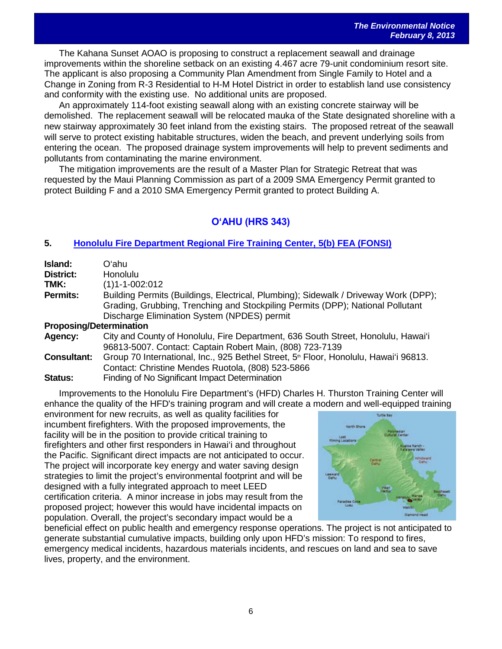The Kahana Sunset AOAO is proposing to construct a replacement seawall and drainage improvements within the shoreline setback on an existing 4.467 acre 79-unit condominium resort site. The applicant is also proposing a Community Plan Amendment from Single Family to Hotel and a Change in Zoning from R-3 Residential to H-M Hotel District in order to establish land use consistency and conformity with the existing use. No additional units are proposed.

An approximately 114-foot existing seawall along with an existing concrete stairway will be demolished. The replacement seawall will be relocated mauka of the State designated shoreline with a new stairway approximately 30 feet inland from the existing stairs. The proposed retreat of the seawall will serve to protect existing habitable structures, widen the beach, and prevent underlying soils from entering the ocean. The proposed drainage system improvements will help to prevent sediments and pollutants from contaminating the marine environment.

The mitigation improvements are the result of a Master Plan for Strategic Retreat that was requested by the Maui Planning Commission as part of a 2009 SMA Emergency Permit granted to protect Building F and a 2010 SMA Emergency Permit granted to protect Building A.

# **OʻAHU (HRS 343)**

# **5. [Honolulu Fire Department Regional Fire Training Center, 5\(b\) FEA \(FONSI\)](http://oeqc.doh.hawaii.gov/Shared%20Documents/EA_and_EIS_Online_Library/Oahu/2010s/2013-02-08-OA-5b-FEA-HonoluluFire-Department-Regional-Tranining-Center.pdf)**

| Island:                        | Oʻahu                                                                                            |  |
|--------------------------------|--------------------------------------------------------------------------------------------------|--|
| District:                      | <b>Honolulu</b>                                                                                  |  |
| TMK:                           | $(1)1 - 1 - 002:012$                                                                             |  |
| <b>Permits:</b>                | Building Permits (Buildings, Electrical, Plumbing); Sidewalk / Driveway Work (DPP);              |  |
|                                | Grading, Grubbing, Trenching and Stockpiling Permits (DPP); National Pollutant                   |  |
|                                | Discharge Elimination System (NPDES) permit                                                      |  |
| <b>Proposing/Determination</b> |                                                                                                  |  |
| Agency:                        | City and County of Honolulu, Fire Department, 636 South Street, Honolulu, Hawai'i                |  |
|                                | 96813-5007. Contact: Captain Robert Main, (808) 723-7139                                         |  |
| <b>Consultant:</b>             | Group 70 International, Inc., 925 Bethel Street, 5 <sup>th</sup> Floor, Honolulu, Hawai'i 96813. |  |
|                                | Contact: Christine Mendes Ruotola, (808) 523-5866                                                |  |
| Status:                        | Finding of No Significant Impact Determination                                                   |  |

Improvements to the Honolulu Fire Department's (HFD) Charles H. Thurston Training Center will enhance the quality of the HFD's training program and will create a modern and well-equipped training

environment for new recruits, as well as quality facilities for incumbent firefighters. With the proposed improvements, the facility will be in the position to provide critical training to firefighters and other first responders in Hawai'i and throughout the Pacific. Significant direct impacts are not anticipated to occur. The project will incorporate key energy and water saving design strategies to limit the project's environmental footprint and will be designed with a fully integrated approach to meet LEED certification criteria. A minor increase in jobs may result from the proposed project; however this would have incidental impacts on population. Overall, the project's secondary impact would be a



beneficial effect on public health and emergency response operations. The project is not anticipated to generate substantial cumulative impacts, building only upon HFD's mission: To respond to fires, emergency medical incidents, hazardous materials incidents, and rescues on land and sea to save lives, property, and the environment.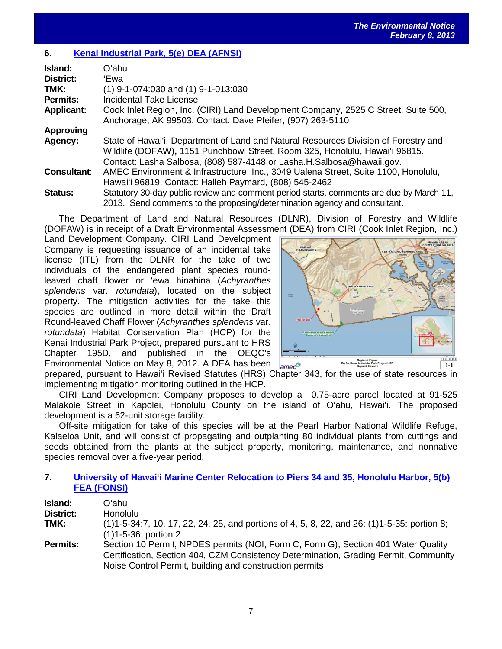# **6. [Kenai Industrial Park, 5\(e\) DEA \(AFNSI\)](http://oeqc.doh.hawaii.gov/Shared%20Documents/EA_and_EIS_Online_Library/Oahu/2010s/2013-02-08-OA-5e-DEA-Kenai-Industrial-Park.pdf)**

| Island:            | O'ahu                                                                                                                                                                                                                                       |
|--------------------|---------------------------------------------------------------------------------------------------------------------------------------------------------------------------------------------------------------------------------------------|
| District:          | 'Ewa                                                                                                                                                                                                                                        |
| TMK:               | $(1)$ 9-1-074:030 and $(1)$ 9-1-013:030                                                                                                                                                                                                     |
| Permits:           | <b>Incidental Take License</b>                                                                                                                                                                                                              |
| <b>Applicant:</b>  | Cook Inlet Region, Inc. (CIRI) Land Development Company, 2525 C Street, Suite 500,<br>Anchorage, AK 99503. Contact: Dave Pfeifer, (907) 263-5110                                                                                            |
| <b>Approving</b>   |                                                                                                                                                                                                                                             |
| Agency:            | State of Hawai'i, Department of Land and Natural Resources Division of Forestry and<br>Wildlife (DOFAW), 1151 Punchbowl Street, Room 325, Honolulu, Hawai'i 96815.<br>Contact: Lasha Salbosa, (808) 587-4148 or Lasha.H.Salbosa@hawaii.gov. |
| <b>Consultant:</b> | AMEC Environment & Infrastructure, Inc., 3049 Ualena Street, Suite 1100, Honolulu,<br>Hawai'i 96819. Contact: Halleh Paymard, (808) 545-2462                                                                                                |
| <b>Status:</b>     | Statutory 30-day public review and comment period starts, comments are due by March 11,<br>2013. Send comments to the proposing/determination agency and consultant.                                                                        |

The Department of Land and Natural Resources (DLNR), Division of Forestry and Wildlife (DOFAW) is in receipt of a Draft Environmental Assessment (DEA) from CIRI (Cook Inlet Region, Inc.)

Land Development Company. CIRI Land Development Company is requesting issuance of an incidental take license (ITL) from the DLNR for the take of two individuals of the endangered plant species roundleaved chaff flower or 'ewa hinahina (*Achyranthes splendens* var. *rotundata*), located on the subject property. The mitigation activities for the take this species are outlined in more detail within the Draft Round-leaved Chaff Flower (*Achyranthes splendens* var. *rotundata*) Habitat Conservation Plan (HCP) for the Kenai Industrial Park Project, prepared pursuant to HRS Chapter 195D, and published in the OEQC's Environmental Notice on May 8, 2012. A DEA has been



prepared, pursuant to Hawaiʻi Revised Statutes (HRS) Chapter 343, for the use of state resources in implementing mitigation monitoring outlined in the HCP.

CIRI Land Development Company proposes to develop a 0.75-acre parcel located at 91-525 Malakole Street in Kapolei, Honolulu County on the island of O'ahu, Hawai'i. The proposed development is a 62-unit storage facility.

Off-site mitigation for take of this species will be at the Pearl Harbor National Wildlife Refuge, Kalaeloa Unit, and will consist of propagating and outplanting 80 individual plants from cuttings and seeds obtained from the plants at the subject property, monitoring, maintenance, and nonnative species removal over a five-year period.

#### **7. [University of Hawai'i Marine Center Relocation to Piers 34 and 35, Honolulu Harbor, 5\(b\)](http://oeqc.doh.hawaii.gov/Shared%20Documents/EA_and_EIS_Online_Library/Oahu/2010s/2013-02-08-OA-5b-FEA-UH-Relocation-to-Piers-34-and-35-Project.pdf) [FEA \(FONSI\)](http://oeqc.doh.hawaii.gov/Shared%20Documents/EA_and_EIS_Online_Library/Oahu/2010s/2013-02-08-OA-5b-FEA-UH-Relocation-to-Piers-34-and-35-Project.pdf)**

| Island:          | Oʻahu                                                                                             |
|------------------|---------------------------------------------------------------------------------------------------|
| <b>District:</b> | <b>Honolulu</b>                                                                                   |
| TMK:             | $(1)1-5-34:7$ , 10, 17, 22, 24, 25, and portions of 4, 5, 8, 22, and 26; $(1)1-5-35$ : portion 8; |
|                  | $(1)1 - 5 - 36$ : portion 2                                                                       |
| <b>Permits:</b>  | Section 10 Permit, NPDES permits (NOI, Form C, Form G), Section 401 Water Quality                 |
|                  | Certification, Section 404, CZM Consistency Determination, Grading Permit, Community              |
|                  | Noise Control Permit, building and construction permits                                           |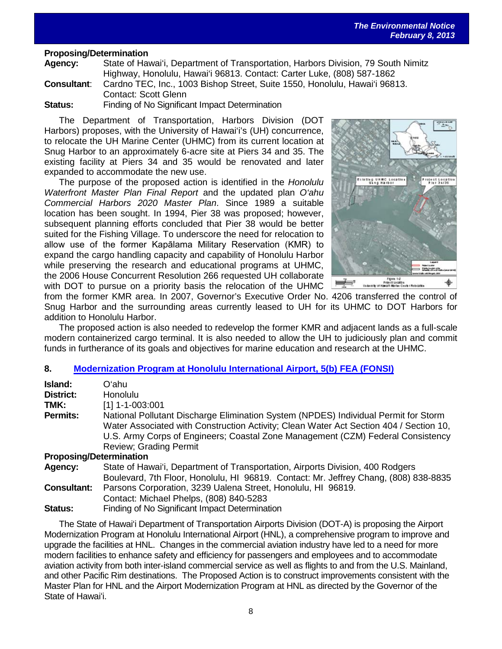#### **Proposing/Determination**

**Agency:** State of Hawai'i, Department of Transportation, Harbors Division, 79 South Nimitz Highway, Honolulu, Hawai'i 96813. Contact: Carter Luke, (808) 587-1862 **Consultant**: Cardno TEC, Inc., 1003 Bishop Street, Suite 1550, Honolulu, Hawai'i 96813.

Contact: Scott Glenn

**Status:** Finding of No Significant Impact Determination

The Department of Transportation, Harbors Division (DOT Harbors) proposes, with the University of Hawai'i's (UH) concurrence, to relocate the UH Marine Center (UHMC) from its current location at Snug Harbor to an approximately 6-acre site at Piers 34 and 35. The existing facility at Piers 34 and 35 would be renovated and later expanded to accommodate the new use.

The purpose of the proposed action is identified in the *Honolulu Waterfront Master Plan Final Report* and the updated plan *O'ahu Commercial Harbors 2020 Master Plan*. Since 1989 a suitable location has been sought. In 1994, Pier 38 was proposed; however, subsequent planning efforts concluded that Pier 38 would be better suited for the Fishing Village. To underscore the need for relocation to allow use of the former Kapālama Military Reservation (KMR) to expand the cargo handling capacity and capability of Honolulu Harbor while preserving the research and educational programs at UHMC, the 2006 House Concurrent Resolution 266 requested UH collaborate with DOT to pursue on a priority basis the relocation of the UHMC



from the former KMR area. In 2007, Governor's Executive Order No. 4206 transferred the control of Snug Harbor and the surrounding areas currently leased to UH for its UHMC to DOT Harbors for addition to Honolulu Harbor.

The proposed action is also needed to redevelop the former KMR and adjacent lands as a full-scale modern containerized cargo terminal. It is also needed to allow the UH to judiciously plan and commit funds in furtherance of its goals and objectives for marine education and research at the UHMC.

#### **8. [Modernization Program at Honolulu International Airport, 5\(b\) FEA \(FONSI\)](http://oeqc.doh.hawaii.gov/Shared%20Documents/EA_and_EIS_Online_Library/Oahu/2010s/2013-02-08-OA-5b-FEA-Honolulu-International-Airport-Modernization-Program.pdf)**

| Island:                        | Oʻahul                                                                                                                                                                                                                                                                                             |  |
|--------------------------------|----------------------------------------------------------------------------------------------------------------------------------------------------------------------------------------------------------------------------------------------------------------------------------------------------|--|
| District:                      | <b>Honolulu</b>                                                                                                                                                                                                                                                                                    |  |
| TMK:                           | $[1]$ 1-1-003:001                                                                                                                                                                                                                                                                                  |  |
| <b>Permits:</b>                | National Pollutant Discharge Elimination System (NPDES) Individual Permit for Storm<br>Water Associated with Construction Activity; Clean Water Act Section 404 / Section 10,<br>U.S. Army Corps of Engineers; Coastal Zone Management (CZM) Federal Consistency<br><b>Review</b> ; Grading Permit |  |
| <b>Proposing/Determination</b> |                                                                                                                                                                                                                                                                                                    |  |
| Agency:                        | State of Hawai'i, Department of Transportation, Airports Division, 400 Rodgers<br>Boulevard, 7th Floor, Honolulu, HI 96819. Contact: Mr. Jeffrey Chang, (808) 838-8835                                                                                                                             |  |
| <b>Consultant:</b>             | Parsons Corporation, 3239 Ualena Street, Honolulu, HI 96819.                                                                                                                                                                                                                                       |  |

Contact: Michael Phelps, (808) 840-5283

**Status:** Finding of No Significant Impact Determination

The State of Hawai'i Department of Transportation Airports Division (DOT-A) is proposing the Airport Modernization Program at Honolulu International Airport (HNL), a comprehensive program to improve and upgrade the facilities at HNL. Changes in the commercial aviation industry have led to a need for more modern facilities to enhance safety and efficiency for passengers and employees and to accommodate aviation activity from both inter-island commercial service as well as flights to and from the U.S. Mainland, and other Pacific Rim destinations. The Proposed Action is to construct improvements consistent with the Master Plan for HNL and the Airport Modernization Program at HNL as directed by the Governor of the State of Hawaiʻi.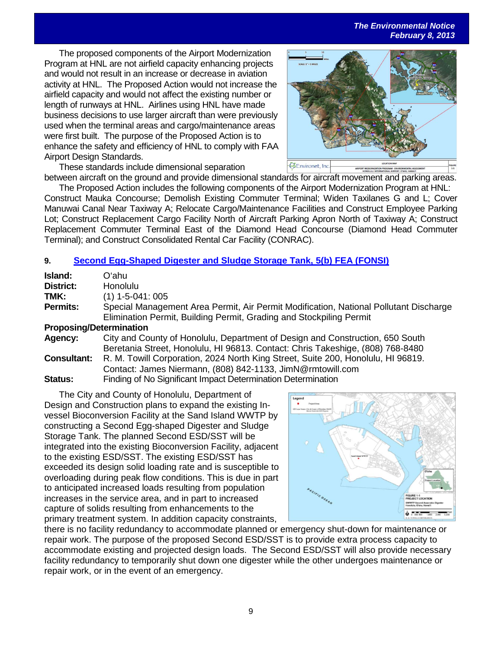*The Environmental Notice February 8, 2013*

The proposed components of the Airport Modernization Program at HNL are not airfield capacity enhancing projects and would not result in an increase or decrease in aviation activity at HNL. The Proposed Action would not increase the airfield capacity and would not affect the existing number or length of runways at HNL. Airlines using HNL have made business decisions to use larger aircraft than were previously used when the terminal areas and cargo/maintenance areas were first built. The purpose of the Proposed Action is to enhance the safety and efficiency of HNL to comply with FAA Airport Design Standards.



These standards include dimensional separation between aircraft on the ground and provide dimensional standards for aircraft movement and parking areas.

The Proposed Action includes the following components of the Airport Modernization Program at HNL: Construct Mauka Concourse; Demolish Existing Commuter Terminal; Widen Taxilanes G and L; Cover Manuwai Canal Near Taxiway A; Relocate Cargo/Maintenance Facilities and Construct Employee Parking Lot; Construct Replacement Cargo Facility North of Aircraft Parking Apron North of Taxiway A; Construct Replacement Commuter Terminal East of the Diamond Head Concourse (Diamond Head Commuter Terminal); and Construct Consolidated Rental Car Facility (CONRAC).

# **9. [Second Egg-Shaped Digester and Sludge Storage Tank, 5\(b\) FEA \(FONSI\)](http://oeqc.doh.hawaii.gov/Shared%20Documents/EA_and_EIS_Online_Library/Oahu/2010s/2013-02-08-OA-5b-FEA-Second-Egg-Shaped-Digester-Sludge-Storage-Tank.pdf)**

| Island:                        | Oʻahu.                                                                                |
|--------------------------------|---------------------------------------------------------------------------------------|
| District:                      | <b>Honolulu</b>                                                                       |
| TMK:                           | $(1)$ 1-5-041: 005                                                                    |
| <b>Permits:</b>                | Special Management Area Permit, Air Permit Modification, National Pollutant Discharge |
|                                | Elimination Permit, Building Permit, Grading and Stockpiling Permit                   |
| <b>Proposing/Determination</b> |                                                                                       |
| Agency:                        | City and County of Honolulu, Department of Design and Construction, 650 South         |
|                                | Beretania Street, Honolulu, HI 96813. Contact: Chris Takeshige, (808) 768-8480        |
| <b>Consultant:</b>             | R. M. Towill Corporation, 2024 North King Street, Suite 200, Honolulu, HI 96819.      |
|                                | Contact: James Niermann, (808) 842-1133, JimN@rmtowill.com                            |
| <b>Status:</b>                 | Finding of No Significant Impact Determination Determination                          |

The City and County of Honolulu, Department of Design and Construction plans to expand the existing Invessel Bioconversion Facility at the Sand Island WWTP by constructing a Second Egg-shaped Digester and Sludge Storage Tank. The planned Second ESD/SST will be integrated into the existing Bioconversion Facility, adjacent to the existing ESD/SST. The existing ESD/SST has exceeded its design solid loading rate and is susceptible to overloading during peak flow conditions. This is due in part to anticipated increased loads resulting from population increases in the service area, and in part to increased capture of solids resulting from enhancements to the primary treatment system. In addition capacity constraints,



there is no facility redundancy to accommodate planned or emergency shut-down for maintenance or repair work. The purpose of the proposed Second ESD/SST is to provide extra process capacity to accommodate existing and projected design loads. The Second ESD/SST will also provide necessary facility redundancy to temporarily shut down one digester while the other undergoes maintenance or repair work, or in the event of an emergency.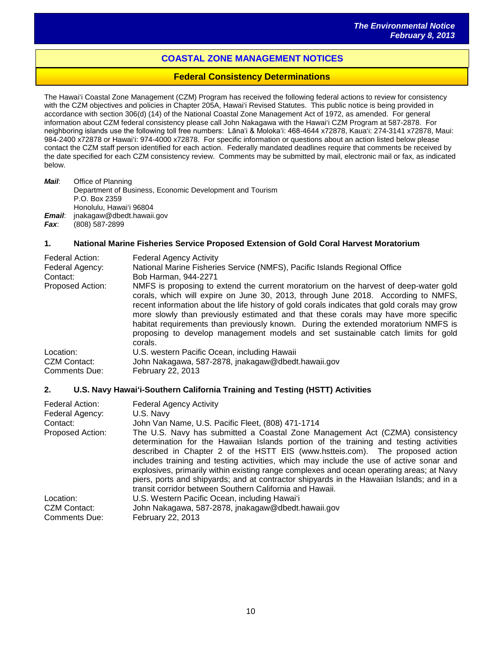# **COASTAL ZONE MANAGEMENT NOTICES**

#### **Federal Consistency Determinations**

The Hawai'i Coastal Zone Management (CZM) Program has received the following federal actions to review for consistency with the CZM objectives and policies in Chapter 205A, Hawai'i Revised Statutes. This public notice is being provided in accordance with section 306(d) (14) of the National Coastal Zone Management Act of 1972, as amended. For general information about CZM federal consistency please call John Nakagawa with the Hawai'i CZM Program at 587-2878. For neighboring islands use the following toll free numbers: Lāna'i & Moloka'i: 468-4644 x72878, Kaua'i: 274-3141 x72878, Maui: 984-2400 x72878 or Hawai'i: 974-4000 x72878. For specific information or questions about an action listed below please contact the CZM staff person identified for each action. Federally mandated deadlines require that comments be received by the date specified for each CZM consistency review. Comments may be submitted by mail, electronic mail or fax, as indicated below.

*Mail*: Office of Planning Department of Business, Economic Development and Tourism P.O. Box 2359 Honolulu, Hawai'i 96804 *Email*: jnakagaw@dbedt.hawaii.gov *Fax*: (808) 587-2899

#### **1. National Marine Fisheries Service Proposed Extension of Gold Coral Harvest Moratorium**

| Federal Action:<br>Federal Agency:<br>Contact:<br><b>Proposed Action:</b> | <b>Federal Agency Activity</b><br>National Marine Fisheries Service (NMFS), Pacific Islands Regional Office<br>Bob Harman, 944-2271<br>NMFS is proposing to extend the current moratorium on the harvest of deep-water gold<br>corals, which will expire on June 30, 2013, through June 2018. According to NMFS,<br>recent information about the life history of gold corals indicates that gold corals may grow<br>more slowly than previously estimated and that these corals may have more specific<br>habitat requirements than previously known. During the extended moratorium NMFS is<br>proposing to develop management models and set sustainable catch limits for gold<br>corals. |
|---------------------------------------------------------------------------|---------------------------------------------------------------------------------------------------------------------------------------------------------------------------------------------------------------------------------------------------------------------------------------------------------------------------------------------------------------------------------------------------------------------------------------------------------------------------------------------------------------------------------------------------------------------------------------------------------------------------------------------------------------------------------------------|
| Location:                                                                 | U.S. western Pacific Ocean, including Hawaii                                                                                                                                                                                                                                                                                                                                                                                                                                                                                                                                                                                                                                                |
| CZM Contact:                                                              | John Nakagawa, 587-2878, jnakagaw@dbedt.hawaii.gov                                                                                                                                                                                                                                                                                                                                                                                                                                                                                                                                                                                                                                          |
| <b>Comments Due:</b>                                                      | February 22, 2013                                                                                                                                                                                                                                                                                                                                                                                                                                                                                                                                                                                                                                                                           |

#### **2. U.S. Navy Hawaiʻi-Southern California Training and Testing (HSTT) Activities**

| Federal Action:<br>Federal Agency: | <b>Federal Agency Activity</b><br>U.S. Navy                                               |
|------------------------------------|-------------------------------------------------------------------------------------------|
| Contact:                           | John Van Name, U.S. Pacific Fleet, (808) 471-1714                                         |
| Proposed Action:                   | The U.S. Navy has submitted a Coastal Zone Management Act (CZMA) consistency              |
|                                    | determination for the Hawaiian Islands portion of the training and testing activities     |
|                                    | described in Chapter 2 of the HSTT EIS (www.hstteis.com). The proposed action             |
|                                    | includes training and testing activities, which may include the use of active sonar and   |
|                                    | explosives, primarily within existing range complexes and ocean operating areas; at Navy  |
|                                    | piers, ports and shipyards; and at contractor shipyards in the Hawaiian Islands; and in a |
|                                    | transit corridor between Southern California and Hawaii.                                  |
| Location:                          | U.S. Western Pacific Ocean, including Hawai'i                                             |
| CZM Contact:                       | John Nakagawa, 587-2878, jnakagaw@dbedt.hawaii.gov                                        |
| <b>Comments Due:</b>               | February 22, 2013                                                                         |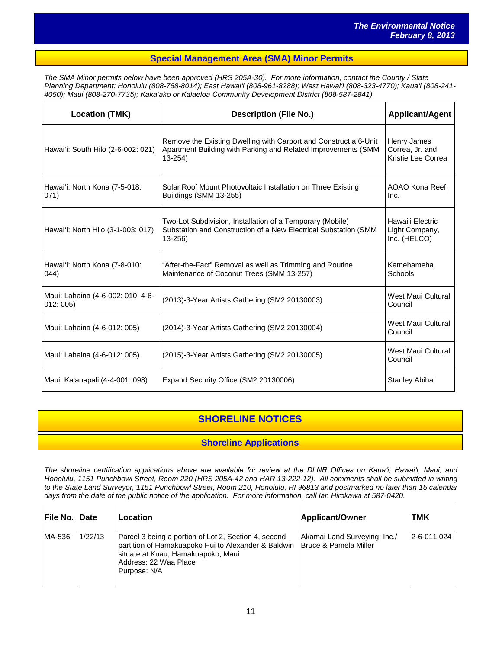#### **Special Management Area (SMA) Minor Permits**

*The SMA Minor permits below have been approved (HRS 205A-30). For more information, contact the County / State Planning Department: Honolulu (808-768-8014); East Hawai'i (808-961-8288); West Hawai'i (808-323-4770); Kaua'i (808-241- 4050); Maui (808-270-7735); Kakaʻako or Kalaeloa Community Development District (808-587-2841).*

| <b>Location (TMK)</b>                        | <b>Description (File No.)</b>                                                                                                                   | <b>Applicant/Agent</b>                               |
|----------------------------------------------|-------------------------------------------------------------------------------------------------------------------------------------------------|------------------------------------------------------|
| Hawai'i: South Hilo (2-6-002: 021)           | Remove the Existing Dwelling with Carport and Construct a 6-Unit<br>Apartment Building with Parking and Related Improvements (SMM<br>$13 - 254$ | Henry James<br>Correa, Jr. and<br>Kristie Lee Correa |
| Hawai'i: North Kona (7-5-018:<br>071)        | Solar Roof Mount Photovoltaic Installation on Three Existing<br>Buildings (SMM 13-255)                                                          | AOAO Kona Reef.<br>Inc.                              |
| Hawai'i: North Hilo (3-1-003: 017)           | Two-Lot Subdivision, Installation of a Temporary (Mobile)<br>Substation and Construction of a New Electrical Substation (SMM<br>$13 - 256$      | Hawai'i Electric<br>Light Company,<br>Inc. (HELCO)   |
| Hawai'i: North Kona (7-8-010:<br>044)        | "After-the-Fact" Removal as well as Trimming and Routine<br>Maintenance of Coconut Trees (SMM 13-257)                                           | Kamehameha<br>Schools                                |
| Maui: Lahaina (4-6-002: 010; 4-6-<br>012:005 | (2013)-3-Year Artists Gathering (SM2 20130003)                                                                                                  | West Maui Cultural<br>Council                        |
| Maui: Lahaina (4-6-012: 005)                 | (2014)-3-Year Artists Gathering (SM2 20130004)                                                                                                  | West Maui Cultural<br>Council                        |
| Maui: Lahaina (4-6-012: 005)                 | (2015)-3-Year Artists Gathering (SM2 20130005)                                                                                                  | West Maui Cultural<br>Council                        |
| Maui: Ka'anapali (4-4-001: 098)              | Expand Security Office (SM2 20130006)                                                                                                           | Stanley Abihai                                       |

# **SHORELINE NOTICES**

# **Shoreline Applications**

*The shoreline certification applications above are available for review at the DLNR Offices on Kauaʻi, Hawaiʻi, Maui, and Honolulu, 1151 Punchbowl Street, Room 220 (HRS 205A-42 and HAR 13-222-12). All comments shall be submitted in writing to the State Land Surveyor, 1151 Punchbowl Street, Room 210, Honolulu, HI 96813 and postmarked no later than 15 calendar days from the date of the public notice of the application. For more information, call Ian Hirokawa at 587-0420.*

| ∣ File No. ∣ Date |         | Location                                                                                                                                                                                   | <b>Applicant/Owner</b>                                           | <b>TMK</b>      |
|-------------------|---------|--------------------------------------------------------------------------------------------------------------------------------------------------------------------------------------------|------------------------------------------------------------------|-----------------|
| MA-536            | 1/22/13 | Parcel 3 being a portion of Lot 2, Section 4, second<br>partition of Hamakuapoko Hui to Alexander & Baldwin<br>situate at Kuau, Hamakuapoko, Maui<br>Address: 22 Waa Place<br>Purpose: N/A | Akamai Land Surveying, Inc./<br><b>Bruce &amp; Pamela Miller</b> | l 2-6-011:024 l |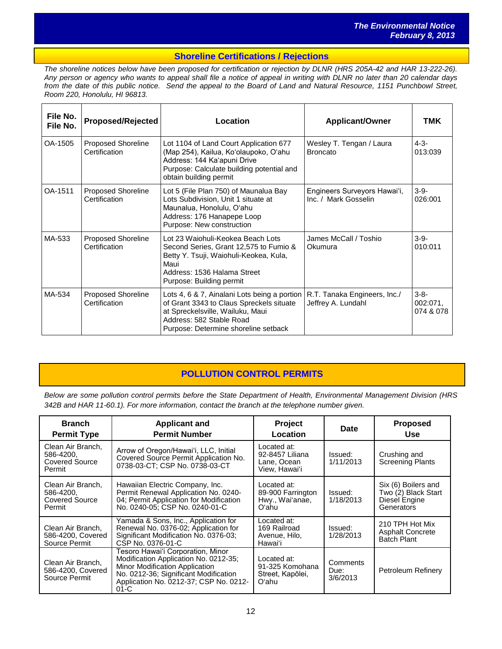#### **Shoreline Certifications / Rejections**

*The shoreline notices below have been proposed for certification or rejection by DLNR (HRS 205A-42 and HAR 13-222-26). Any person or agency who wants to appeal shall file a notice of appeal in writing with DLNR no later than 20 calendar days from the date of this public notice. Send the appeal to the Board of Land and Natural Resource, 1151 Punchbowl Street, Room 220, Honolulu, HI 96813.*

| File No.<br>File No. | <b>Proposed/Rejected</b>            | Location                                                                                                                                                                                         | <b>Applicant/Owner</b>                               | <b>TMK</b>                         |
|----------------------|-------------------------------------|--------------------------------------------------------------------------------------------------------------------------------------------------------------------------------------------------|------------------------------------------------------|------------------------------------|
| OA-1505              | Proposed Shoreline<br>Certification | Lot 1104 of Land Court Application 677<br>(Map 254), Kailua, Koʻolaupoko, Oʻahu<br>Address: 144 Ka'apuni Drive<br>Purpose: Calculate building potential and<br>obtain building permit            | Wesley T. Tengan / Laura<br><b>Broncato</b>          | $4 - 3 -$<br>013:039               |
| OA-1511              | Proposed Shoreline<br>Certification | Lot 5 (File Plan 750) of Maunalua Bay<br>Lots Subdivision, Unit 1 situate at<br>Maunalua, Honolulu, O'ahu<br>Address: 176 Hanapepe Loop<br>Purpose: New construction                             | Engineers Surveyors Hawai'i,<br>Inc. / Mark Gosselin | $3-9-$<br>026:001                  |
| MA-533               | Proposed Shoreline<br>Certification | Lot 23 Waiohuli-Keokea Beach Lots<br>Second Series, Grant 12,575 to Fumio &<br>Betty Y. Tsuji, Waiohuli-Keokea, Kula,<br>Maui<br>Address: 1536 Halama Street<br>Purpose: Building permit         | James McCall / Toshio<br>Okumura                     | $3-9-$<br>010:011                  |
| MA-534               | Proposed Shoreline<br>Certification | Lots 4, 6 & 7, Ainalani Lots being a portion<br>of Grant 3343 to Claus Spreckels situate<br>at Spreckelsville, Wailuku, Maui<br>Address: 582 Stable Road<br>Purpose: Determine shoreline setback | R.T. Tanaka Engineers, Inc./<br>Jeffrey A. Lundahl   | $3 - 8 -$<br>002:071,<br>074 & 078 |

# **POLLUTION CONTROL PERMITS**

*Below are some pollution control permits before the State Department of Health, Environmental Management Division (HRS 342B and HAR 11-60.1). For more information, contact the branch at the telephone number given.*

| <b>Branch</b><br><b>Permit Type</b>                               | <b>Applicant and</b><br><b>Permit Number</b>                                                                                                                                                              | Project<br>Location                                            | Date                         | <b>Proposed</b><br>Use                                                    |
|-------------------------------------------------------------------|-----------------------------------------------------------------------------------------------------------------------------------------------------------------------------------------------------------|----------------------------------------------------------------|------------------------------|---------------------------------------------------------------------------|
| Clean Air Branch,<br>586-4200.<br><b>Covered Source</b><br>Permit | Arrow of Oregon/Hawai'i, LLC, Initial<br>Covered Source Permit Application No.<br>0738-03-CT; CSP No. 0738-03-CT                                                                                          | Located at:<br>92-8457 Liliana<br>Lane, Ocean<br>View. Hawaiʻi | Issued:<br>1/11/2013         | Crushing and<br><b>Screening Plants</b>                                   |
| Clean Air Branch,<br>586-4200.<br><b>Covered Source</b><br>Permit | Hawaiian Electric Company, Inc.<br>Permit Renewal Application No. 0240-<br>04; Permit Application for Modification<br>No. 0240-05: CSP No. 0240-01-C                                                      | Located at:<br>89-900 Farrington<br>Hwy., Wai'anae,<br>Oʻahu   | Issued:<br>1/18/2013         | Six (6) Boilers and<br>Two (2) Black Start<br>Diesel Engine<br>Generators |
| Clean Air Branch.<br>586-4200, Covered<br>Source Permit           | Yamada & Sons, Inc., Application for<br>Renewal No. 0376-02; Application for<br>Significant Modification No. 0376-03;<br>CSP No. 0376-01-C                                                                | Located at:<br>169 Railroad<br>Avenue, Hilo,<br>Hawaiʻi        | Issued:<br>1/28/2013         | 210 TPH Hot Mix<br><b>Asphalt Concrete</b><br><b>Batch Plant</b>          |
| Clean Air Branch.<br>586-4200, Covered<br>Source Permit           | Tesoro Hawaiʻi Corporation, Minor<br>Modification Application No. 0212-35;<br>Minor Modification Application<br>No. 0212-36; Significant Modification<br>Application No. 0212-37; CSP No. 0212-<br>$01-C$ | Located at:<br>91-325 Komohana<br>Street, Kapõlei,<br>Oʻahu    | Comments<br>Due:<br>3/6/2013 | Petroleum Refinery                                                        |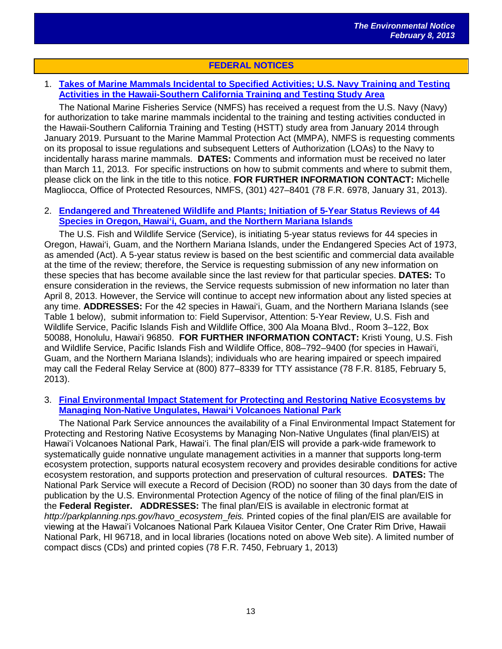# **FEDERAL NOTICES**

# 1. **[Takes of Marine Mammals Incidental to Specified Activities; U.S. Navy Training and Testing](http://www.gpo.gov/fdsys/pkg/FR-2013-01-31/pdf/2013-01808.pdf)  [Activities in the Hawaii-Southern California Training and Testing Study Area](http://www.gpo.gov/fdsys/pkg/FR-2013-01-31/pdf/2013-01808.pdf)**

The National Marine Fisheries Service (NMFS) has received a request from the U.S. Navy (Navy) for authorization to take marine mammals incidental to the training and testing activities conducted in the Hawaii-Southern California Training and Testing (HSTT) study area from January 2014 through January 2019. Pursuant to the Marine Mammal Protection Act (MMPA), NMFS is requesting comments on its proposal to issue regulations and subsequent Letters of Authorization (LOAs) to the Navy to incidentally harass marine mammals. **DATES:** Comments and information must be received no later than March 11, 2013. For specific instructions on how to submit comments and where to submit them, please click on the link in the title to this notice. **FOR FURTHER INFORMATION CONTACT:** Michelle Magliocca, Office of Protected Resources, NMFS, (301) 427–8401 (78 F.R. 6978, January 31, 2013).

#### 2. **[Endangered and Threatened Wildlife and Plants; Initiation of 5-Year Status Reviews of 44](http://www.gpo.gov/fdsys/pkg/FR-2013-02-05/pdf/2013-02453.pdf)  [Species in Oregon,](http://www.gpo.gov/fdsys/pkg/FR-2013-02-05/pdf/2013-02453.pdf) [Hawai'i, Guam, and the Northern Mariana Islands](http://www.gpo.gov/fdsys/pkg/FR-2013-02-05/pdf/2013-02453.pdf)**

The U.S. Fish and Wildlife Service (Service), is initiating 5-year status reviews for 44 species in Oregon, Hawai'i, Guam, and the Northern Mariana Islands, under the Endangered Species Act of 1973, as amended (Act). A 5-year status review is based on the best scientific and commercial data available at the time of the review; therefore, the Service is requesting submission of any new information on these species that has become available since the last review for that particular species. **DATES:** To ensure consideration in the reviews, the Service requests submission of new information no later than April 8, 2013. However, the Service will continue to accept new information about any listed species at any time. **ADDRESSES:** For the 42 species in Hawai'i, Guam, and the Northern Mariana Islands (see Table 1 below), submit information to: Field Supervisor, Attention: 5-Year Review, U.S. Fish and Wildlife Service, Pacific Islands Fish and Wildlife Office, 300 Ala Moana Blvd., Room 3–122, Box 50088, Honolulu, Hawai'i 96850. **FOR FURTHER INFORMATION CONTACT:** Kristi Young, U.S. Fish and Wildlife Service, Pacific Islands Fish and Wildlife Office, 808–792–9400 (for species in Hawai'i, Guam, and the Northern Mariana Islands); individuals who are hearing impaired or speech impaired may call the Federal Relay Service at (800) 877–8339 for TTY assistance (78 F.R. 8185, February 5, 2013).

#### 3. **[Final Environmental Impact Statement for Protecting and Restoring Native Ecosystems by](http://www.gpo.gov/fdsys/pkg/FR-2013-01-30/pdf/2013-01952.pdf)  [Managing Non-Native Ungulates, Hawai'i Volcanoes National Park](http://www.gpo.gov/fdsys/pkg/FR-2013-01-30/pdf/2013-01952.pdf)**

The National Park Service announces the availability of a Final Environmental Impact Statement for Protecting and Restoring Native Ecosystems by Managing Non-Native Ungulates (final plan/EIS) at Hawai'i Volcanoes National Park, Hawaiʻi. The final plan/EIS will provide a park-wide framework to systematically guide nonnative ungulate management activities in a manner that supports long-term ecosystem protection, supports natural ecosystem recovery and provides desirable conditions for active ecosystem restoration, and supports protection and preservation of cultural resources. **DATES:** The National Park Service will execute a Record of Decision (ROD) no sooner than 30 days from the date of publication by the U.S. Environmental Protection Agency of the notice of filing of the final plan/EIS in the **Federal Register. ADDRESSES:** The final plan/EIS is available in electronic format at *http://parkplanning.nps.gov/havo*\_*ecosystem*\_*feis.* Printed copies of the final plan/EIS are available for viewing at the Hawai'i Volcanoes National Park Kılauea Visitor Center, One Crater Rim Drive, Hawaii National Park, HI 96718, and in local libraries (locations noted on above Web site). A limited number of compact discs (CDs) and printed copies (78 F.R. 7450, February 1, 2013)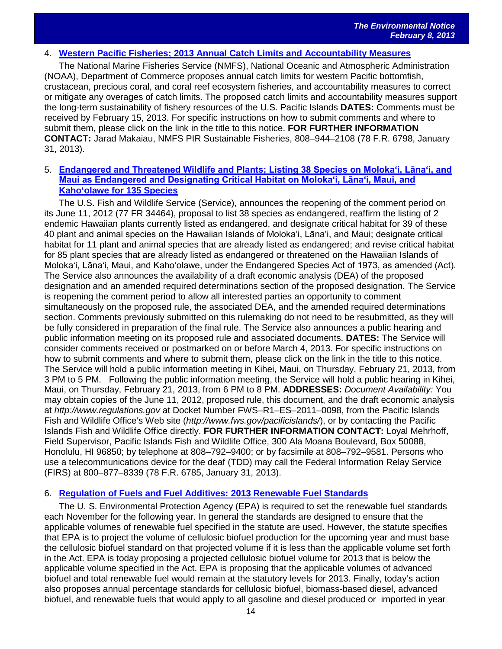#### 4. **[Western Pacific Fisheries; 2013 Annual Catch Limits and Accountability Measures](http://www.gpo.gov/fdsys/pkg/FR-2013-01-31/pdf/2013-02010.pdf)**

The National Marine Fisheries Service (NMFS), National Oceanic and Atmospheric Administration (NOAA), Department of Commerce proposes annual catch limits for western Pacific bottomfish, crustacean, precious coral, and coral reef ecosystem fisheries, and accountability measures to correct or mitigate any overages of catch limits. The proposed catch limits and accountability measures support the long-term sustainability of fishery resources of the U.S. Pacific Islands **DATES:** Comments must be received by February 15, 2013. For specific instructions on how to submit comments and where to submit them, please click on the link in the title to this notice. **FOR FURTHER INFORMATION CONTACT:** Jarad Makaiau, NMFS PIR Sustainable Fisheries, 808–944–2108 (78 F.R. 6798, January 31, 2013).

#### 5. **[Endangered and Threatened Wildlife and Plants; Listing 38 Species on Moloka'i, Lāna'i, and](http://www.gpo.gov/fdsys/pkg/FR-2013-01-31/pdf/2013-02002.pdf)  [Maui as Endangered and Designating Critical Habitat on Moloka'i, Lāna'i, Maui, an](http://www.gpo.gov/fdsys/pkg/FR-2013-01-31/pdf/2013-02002.pdf)d [Kaho'olawe for 135 Species](http://www.gpo.gov/fdsys/pkg/FR-2013-01-31/pdf/2013-02002.pdf)**

The U.S. Fish and Wildlife Service (Service), announces the reopening of the comment period on its June 11, 2012 (77 FR 34464), proposal to list 38 species as endangered, reaffirm the listing of 2 endemic Hawaiian plants currently listed as endangered, and designate critical habitat for 39 of these 40 plant and animal species on the Hawaiian Islands of Moloka'i, Lāna'i, and Maui; designate critical habitat for 11 plant and animal species that are already listed as endangered; and revise critical habitat for 85 plant species that are already listed as endangered or threatened on the Hawaiian Islands of Moloka'i, Lāna'i, Maui, and Kaho'olawe, under the Endangered Species Act of 1973, as amended (Act). The Service also announces the availability of a draft economic analysis (DEA) of the proposed designation and an amended required determinations section of the proposed designation. The Service is reopening the comment period to allow all interested parties an opportunity to comment simultaneously on the proposed rule, the associated DEA, and the amended required determinations section. Comments previously submitted on this rulemaking do not need to be resubmitted, as they will be fully considered in preparation of the final rule. The Service also announces a public hearing and public information meeting on its proposed rule and associated documents. **DATES:** The Service will consider comments received or postmarked on or before March 4, 2013. For specific instructions on how to submit comments and where to submit them, please click on the link in the title to this notice. The Service will hold a public information meeting in Kihei, Maui, on Thursday, February 21, 2013, from 3 PM to 5 PM. Following the public information meeting, the Service will hold a public hearing in Kihei, Maui, on Thursday, February 21, 2013, from 6 PM to 8 PM. **ADDRESSES:** *Document Availability:* You may obtain copies of the June 11, 2012, proposed rule, this document, and the draft economic analysis at *http://www.regulations.gov* at Docket Number FWS–R1–ES–2011–0098, from the Pacific Islands Fish and Wildlife Office's Web site (*http://www.fws.gov/pacificislands/*), or by contacting the Pacific Islands Fish and Wildlife Office directly. **FOR FURTHER INFORMATION CONTACT:** Loyal Mehrhoff, Field Supervisor, Pacific Islands Fish and Wildlife Office, 300 Ala Moana Boulevard, Box 50088, Honolulu, HI 96850; by telephone at 808–792–9400; or by facsimile at 808–792–9581. Persons who use a telecommunications device for the deaf (TDD) may call the Federal Information Relay Service (FIRS) at 800–877–8339 (78 F.R. 6785, January 31, 2013).

# 6. **[Regulation of Fuels and Fuel Additives: 2013 Renewable Fuel Standards](http://www.gpo.gov/fdsys/pkg/FR-2013-02-07/pdf/2013-02794.pdf)**

The U. S. Environmental Protection Agency (EPA) is required to set the renewable fuel standards each November for the following year. In general the standards are designed to ensure that the applicable volumes of renewable fuel specified in the statute are used. However, the statute specifies that EPA is to project the volume of cellulosic biofuel production for the upcoming year and must base the cellulosic biofuel standard on that projected volume if it is less than the applicable volume set forth in the Act. EPA is today proposing a projected cellulosic biofuel volume for 2013 that is below the applicable volume specified in the Act. EPA is proposing that the applicable volumes of advanced biofuel and total renewable fuel would remain at the statutory levels for 2013. Finally, today's action also proposes annual percentage standards for cellulosic biofuel, biomass-based diesel, advanced biofuel, and renewable fuels that would apply to all gasoline and diesel produced or imported in year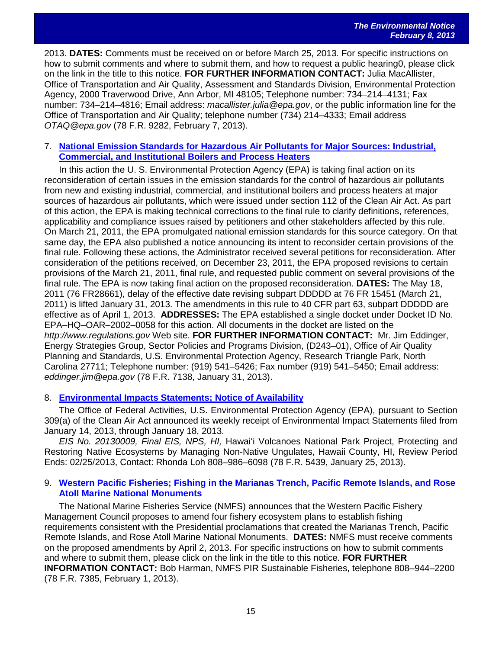2013. **DATES:** Comments must be received on or before March 25, 2013. For specific instructions on how to submit comments and where to submit them, and how to request a public hearing0, please click on the link in the title to this notice. **FOR FURTHER INFORMATION CONTACT:** Julia MacAllister, Office of Transportation and Air Quality, Assessment and Standards Division, Environmental Protection Agency, 2000 Traverwood Drive, Ann Arbor, MI 48105; Telephone number: 734–214–4131; Fax number: 734–214–4816; Email address: *macallister.julia@epa.gov*, or the public information line for the Office of Transportation and Air Quality; telephone number (734) 214–4333; Email address *OTAQ@epa.gov* (78 F.R. 9282, February 7, 2013).

# 7. **[National Emission Standards for Hazardous Air Pollutants for Major Sources: Industrial,](http://www.gpo.gov/fdsys/pkg/FR-2013-01-31/pdf/2012-31646.pdf)  [Commercial, and](http://www.gpo.gov/fdsys/pkg/FR-2013-01-31/pdf/2012-31646.pdf) [Institutional Boilers and Process Heaters](http://www.gpo.gov/fdsys/pkg/FR-2013-01-31/pdf/2012-31646.pdf)**

In this action the U. S. Environmental Protection Agency (EPA) is taking final action on its reconsideration of certain issues in the emission standards for the control of hazardous air pollutants from new and existing industrial, commercial, and institutional boilers and process heaters at major sources of hazardous air pollutants, which were issued under section 112 of the Clean Air Act. As part of this action, the EPA is making technical corrections to the final rule to clarify definitions, references, applicability and compliance issues raised by petitioners and other stakeholders affected by this rule. On March 21, 2011, the EPA promulgated national emission standards for this source category. On that same day, the EPA also published a notice announcing its intent to reconsider certain provisions of the final rule. Following these actions, the Administrator received several petitions for reconsideration. After consideration of the petitions received, on December 23, 2011, the EPA proposed revisions to certain provisions of the March 21, 2011, final rule, and requested public comment on several provisions of the final rule. The EPA is now taking final action on the proposed reconsideration. **DATES:** The May 18, 2011 (76 FR28661), delay of the effective date revising subpart DDDDD at 76 FR 15451 (March 21, 2011) is lifted January 31, 2013. The amendments in this rule to 40 CFR part 63, subpart DDDDD are effective as of April 1, 2013. **ADDRESSES:** The EPA established a single docket under Docket ID No. EPA–HQ–OAR–2002–0058 for this action. All documents in the docket are listed on the *http://www.regulations.gov* Web site. **FOR FURTHER INFORMATION CONTACT:** Mr. Jim Eddinger, Energy Strategies Group, Sector Policies and Programs Division, (D243–01), Office of Air Quality Planning and Standards, U.S. Environmental Protection Agency, Research Triangle Park, North Carolina 27711; Telephone number: (919) 541–5426; Fax number (919) 541–5450; Email address: *eddinger.jim@epa.gov* (78 F.R. 7138, January 31, 2013).

# 8. **[Environmental Impacts Statements; Notice of Availability](http://www.gpo.gov/fdsys/pkg/FR-2013-01-25/pdf/2013-01586.pdf)**

The Office of Federal Activities, U.S. Environmental Protection Agency (EPA), pursuant to Section 309(a) of the Clean Air Act announced its weekly receipt of Environmental Impact Statements filed from January 14, 2013, through January 18, 2013.

*EIS No. 20130009, Final EIS, NPS, HI,* Hawaiʻi Volcanoes National Park Project, Protecting and Restoring Native Ecosystems by Managing Non-Native Ungulates, Hawaii County, HI, Review Period Ends: 02/25/2013, Contact: Rhonda Loh 808–986–6098 (78 F.R. 5439, January 25, 2013).

#### 9. **[Western Pacific Fisheries; Fishing in the Marianas Trench, Pacific Remote Islands, and Rose](http://www.gpo.gov/fdsys/pkg/FR-2013-02-01/pdf/2013-02116.pdf)  [Atoll Marine](http://www.gpo.gov/fdsys/pkg/FR-2013-02-01/pdf/2013-02116.pdf) [National Monuments](http://www.gpo.gov/fdsys/pkg/FR-2013-02-01/pdf/2013-02116.pdf)**

The National Marine Fisheries Service (NMFS) announces that the Western Pacific Fishery Management Council proposes to amend four fishery ecosystem plans to establish fishing requirements consistent with the Presidential proclamations that created the Marianas Trench, Pacific Remote Islands, and Rose Atoll Marine National Monuments. **DATES:** NMFS must receive comments on the proposed amendments by April 2, 2013. For specific instructions on how to submit comments and where to submit them, please click on the link in the title to this notice. **FOR FURTHER INFORMATION CONTACT:** Bob Harman, NMFS PIR Sustainable Fisheries, telephone 808–944–2200 (78 F.R. 7385, February 1, 2013).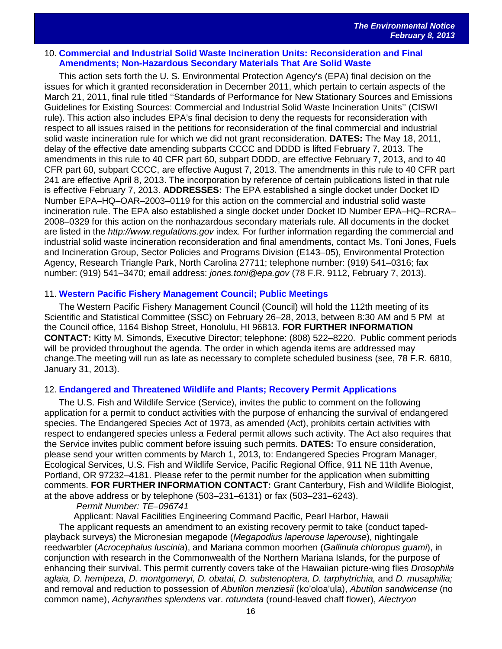#### 10. **[Commercial and Industrial Solid Waste Incineration Units: Reconsideration and Final](http://www.gpo.gov/fdsys/pkg/FR-2013-02-07/pdf/2012-31632.pdf)  [Amendments; Non-Hazardous Secondary Materials That Are Solid Waste](http://www.gpo.gov/fdsys/pkg/FR-2013-02-07/pdf/2012-31632.pdf)**

This action sets forth the U. S. Environmental Protection Agency's (EPA) final decision on the issues for which it granted reconsideration in December 2011, which pertain to certain aspects of the March 21, 2011, final rule titled ''Standards of Performance for New Stationary Sources and Emissions Guidelines for Existing Sources: Commercial and Industrial Solid Waste Incineration Units'' (CISWI rule). This action also includes EPA's final decision to deny the requests for reconsideration with respect to all issues raised in the petitions for reconsideration of the final commercial and industrial solid waste incineration rule for which we did not grant reconsideration. **DATES:** The May 18, 2011, delay of the effective date amending subparts CCCC and DDDD is lifted February 7, 2013. The amendments in this rule to 40 CFR part 60, subpart DDDD, are effective February 7, 2013, and to 40 CFR part 60, subpart CCCC, are effective August 7, 2013. The amendments in this rule to 40 CFR part 241 are effective April 8, 2013. The incorporation by reference of certain publications listed in that rule is effective February 7, 2013. **ADDRESSES:** The EPA established a single docket under Docket ID Number EPA–HQ–OAR–2003–0119 for this action on the commercial and industrial solid waste incineration rule. The EPA also established a single docket under Docket ID Number EPA–HQ–RCRA– 2008–0329 for this action on the nonhazardous secondary materials rule. All documents in the docket are listed in the *http://www.regulations.gov* index. For further information regarding the commercial and industrial solid waste incineration reconsideration and final amendments, contact Ms. Toni Jones, Fuels and Incineration Group, Sector Policies and Programs Division (E143–05), Environmental Protection Agency, Research Triangle Park, North Carolina 27711; telephone number: (919) 541–0316; fax number: (919) 541–3470; email address: *jones.toni@epa.gov* (78 F.R. 9112, February 7, 2013).

#### 11. **[Western Pacific Fishery Management Council; Public Meetings](http://www.gpo.gov/fdsys/pkg/FR-2013-01-31/pdf/2013-02078.pdf)**

The Western Pacific Fishery Management Council (Council) will hold the 112th meeting of its Scientific and Statistical Committee (SSC) on February 26–28, 2013, between 8:30 AM and 5 PM at the Council office, 1164 Bishop Street, Honolulu, HI 96813. **FOR FURTHER INFORMATION CONTACT:** Kitty M. Simonds, Executive Director; telephone: (808) 522–8220. Public comment periods will be provided throughout the agenda. The order in which agenda items are addressed may change.The meeting will run as late as necessary to complete scheduled business (see, 78 F.R. 6810, January 31, 2013).

#### 12. **[Endangered and Threatened Wildlife and Plants; Recovery Permit Applications](http://www.gpo.gov/fdsys/pkg/FR-2013-01-30/pdf/2013-01952.pdf)**

The U.S. Fish and Wildlife Service (Service), invites the public to comment on the following application for a permit to conduct activities with the purpose of enhancing the survival of endangered species. The Endangered Species Act of 1973, as amended (Act), prohibits certain activities with respect to endangered species unless a Federal permit allows such activity. The Act also requires that the Service invites public comment before issuing such permits. **DATES:** To ensure consideration, please send your written comments by March 1, 2013, to: Endangered Species Program Manager, Ecological Services, U.S. Fish and Wildlife Service, Pacific Regional Office, 911 NE 11th Avenue, Portland, OR 97232–4181. Please refer to the permit number for the application when submitting comments. **FOR FURTHER INFORMATION CONTACT:** Grant Canterbury, Fish and Wildlife Biologist, at the above address or by telephone (503–231–6131) or fax (503–231–6243).

*Permit Number: TE–096741*

Applicant: Naval Facilities Engineering Command Pacific, Pearl Harbor, Hawaii The applicant requests an amendment to an existing recovery permit to take (conduct tapedplayback surveys) the Micronesian megapode (*Megapodius laperouse laperouse*), nightingale reedwarbler (*Acrocephalus luscinia*), and Mariana common moorhen (*Gallinula chloropus guami*), in conjunction with research in the Commonwealth of the Northern Mariana Islands, for the purpose of enhancing their survival. This permit currently covers take of the Hawaiian picture-wing flies *Drosophila aglaia, D. hemipeza, D. montgomeryi, D. obatai, D. substenoptera, D. tarphytrichia,* and *D. musaphilia;*  and removal and reduction to possession of *Abutilon menziesii* (ko'oloa'ula), *Abutilon sandwicense* (no common name), *Achyranthes splendens* var. *rotundata* (round-leaved chaff flower), *Alectryon*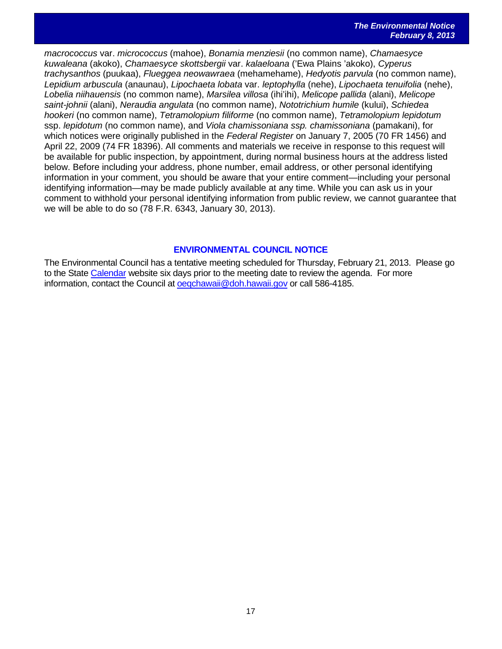*macrococcus* var. *micrococcus* (mahoe), *Bonamia menziesii* (no common name), *Chamaesyce kuwaleana* (akoko), *Chamaesyce skottsbergii* var. *kalaeloana* ('Ewa Plains 'akoko), *Cyperus trachysanthos* (puukaa), *Flueggea neowawraea* (mehamehame), *Hedyotis parvula* (no common name), *Lepidium arbuscula* (anaunau), *Lipochaeta lobata* var. *leptophylla* (nehe), *Lipochaeta tenuifolia* (nehe), *Lobelia niihauensis* (no common name), *Marsilea villosa* (ihi'ihi), *Melicope pallida* (alani), *Melicope saint-johnii* (alani), *Neraudia angulata* (no common name), *Nototrichium humile* (kului), *Schiedea hookeri* (no common name), *Tetramolopium filiforme* (no common name), *Tetramolopium lepidotum*  ssp. *lepidotum* (no common name), and *Viola chamissoniana ssp. chamissoniana* (pamakani), for which notices were originally published in the *Federal Register* on January 7, 2005 (70 FR 1456) and April 22, 2009 (74 FR 18396). All comments and materials we receive in response to this request will be available for public inspection, by appointment, during normal business hours at the address listed below. Before including your address, phone number, email address, or other personal identifying information in your comment, you should be aware that your entire comment—including your personal identifying information—may be made publicly available at any time. While you can ask us in your comment to withhold your personal identifying information from public review, we cannot guarantee that we will be able to do so (78 F.R. 6343, January 30, 2013).

# **ENVIRONMENTAL COUNCIL NOTICE**

The Environmental Council has a tentative meeting scheduled for Thursday, February 21, 2013. Please go to the Stat[e Calendar](http://calendar.ehawaii.gov/calendar/html/event) website six days prior to the meeting date to review the agenda. For more information, contact the Council at oegchawaii@doh.hawaii.gov or call 586-4185.